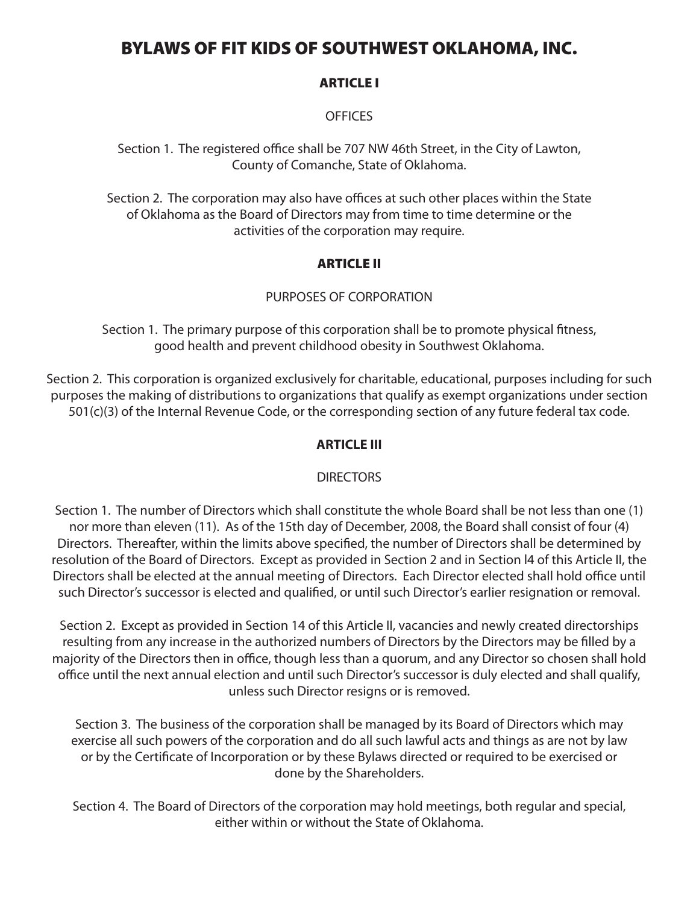# BYLAWS OF FIT KIDS OF SOUTHWEST OKLAHOMA, INC.

#### ARTICLE I

#### **OFFICES**

Section 1. The registered office shall be 707 NW 46th Street, in the City of Lawton, County of Comanche, State of Oklahoma.

Section 2. The corporation may also have offices at such other places within the State of Oklahoma as the Board of Directors may from time to time determine or the activities of the corporation may require.

## ARTICLE II

#### PURPOSES OF CORPORATION

Section 1. The primary purpose of this corporation shall be to promote physical fitness, good health and prevent childhood obesity in Southwest Oklahoma.

Section 2. This corporation is organized exclusively for charitable, educational, purposes including for such purposes the making of distributions to organizations that qualify as exempt organizations under section 501(c)(3) of the Internal Revenue Code, or the corresponding section of any future federal tax code.

#### **ARTICLE III**

#### **DIRECTORS**

Section 1. The number of Directors which shall constitute the whole Board shall be not less than one (1) nor more than eleven (11). As of the 15th day of December, 2008, the Board shall consist of four (4) Directors. Thereafter, within the limits above specified, the number of Directors shall be determined by resolution of the Board of Directors. Except as provided in Section 2 and in Section l4 of this Article II, the Directors shall be elected at the annual meeting of Directors. Each Director elected shall hold office until such Director's successor is elected and qualified, or until such Director's earlier resignation or removal.

Section 2. Except as provided in Section 14 of this Article II, vacancies and newly created directorships resulting from any increase in the authorized numbers of Directors by the Directors may be filled by a majority of the Directors then in office, though less than a quorum, and any Director so chosen shall hold office until the next annual election and until such Director's successor is duly elected and shall qualify, unless such Director resigns or is removed.

Section 3. The business of the corporation shall be managed by its Board of Directors which may exercise all such powers of the corporation and do all such lawful acts and things as are not by law or by the Certificate of Incorporation or by these Bylaws directed or required to be exercised or done by the Shareholders.

Section 4. The Board of Directors of the corporation may hold meetings, both regular and special, either within or without the State of Oklahoma.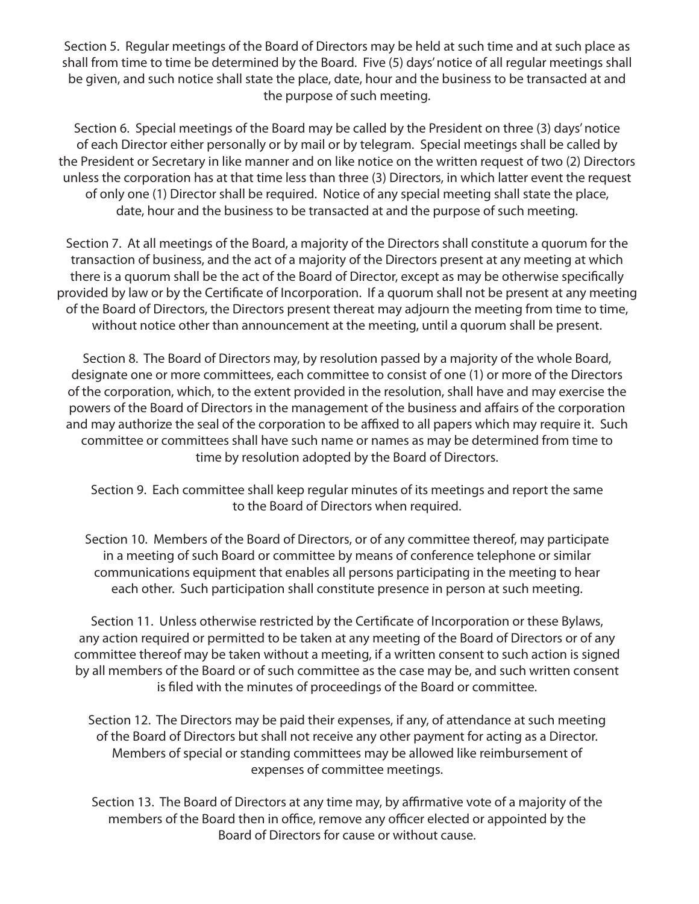Section 5. Regular meetings of the Board of Directors may be held at such time and at such place as shall from time to time be determined by the Board. Five (5) days' notice of all regular meetings shall be given, and such notice shall state the place, date, hour and the business to be transacted at and the purpose of such meeting.

Section 6. Special meetings of the Board may be called by the President on three (3) days' notice of each Director either personally or by mail or by telegram. Special meetings shall be called by the President or Secretary in like manner and on like notice on the written request of two (2) Directors unless the corporation has at that time less than three (3) Directors, in which latter event the request of only one (1) Director shall be required. Notice of any special meeting shall state the place, date, hour and the business to be transacted at and the purpose of such meeting.

Section 7. At all meetings of the Board, a majority of the Directors shall constitute a quorum for the transaction of business, and the act of a majority of the Directors present at any meeting at which there is a quorum shall be the act of the Board of Director, except as may be otherwise specifically provided by law or by the Certificate of Incorporation. If a quorum shall not be present at any meeting of the Board of Directors, the Directors present thereat may adjourn the meeting from time to time, without notice other than announcement at the meeting, until a quorum shall be present.

Section 8. The Board of Directors may, by resolution passed by a majority of the whole Board, designate one or more committees, each committee to consist of one (1) or more of the Directors of the corporation, which, to the extent provided in the resolution, shall have and may exercise the powers of the Board of Directors in the management of the business and affairs of the corporation and may authorize the seal of the corporation to be affixed to all papers which may require it. Such committee or committees shall have such name or names as may be determined from time to time by resolution adopted by the Board of Directors.

Section 9. Each committee shall keep regular minutes of its meetings and report the same to the Board of Directors when required.

Section 10. Members of the Board of Directors, or of any committee thereof, may participate in a meeting of such Board or committee by means of conference telephone or similar communications equipment that enables all persons participating in the meeting to hear each other. Such participation shall constitute presence in person at such meeting.

Section 11. Unless otherwise restricted by the Certificate of Incorporation or these Bylaws, any action required or permitted to be taken at any meeting of the Board of Directors or of any committee thereof may be taken without a meeting, if a written consent to such action is signed by all members of the Board or of such committee as the case may be, and such written consent is filed with the minutes of proceedings of the Board or committee.

Section 12. The Directors may be paid their expenses, if any, of attendance at such meeting of the Board of Directors but shall not receive any other payment for acting as a Director. Members of special or standing committees may be allowed like reimbursement of expenses of committee meetings.

Section 13. The Board of Directors at any time may, by affirmative vote of a majority of the members of the Board then in office, remove any officer elected or appointed by the Board of Directors for cause or without cause.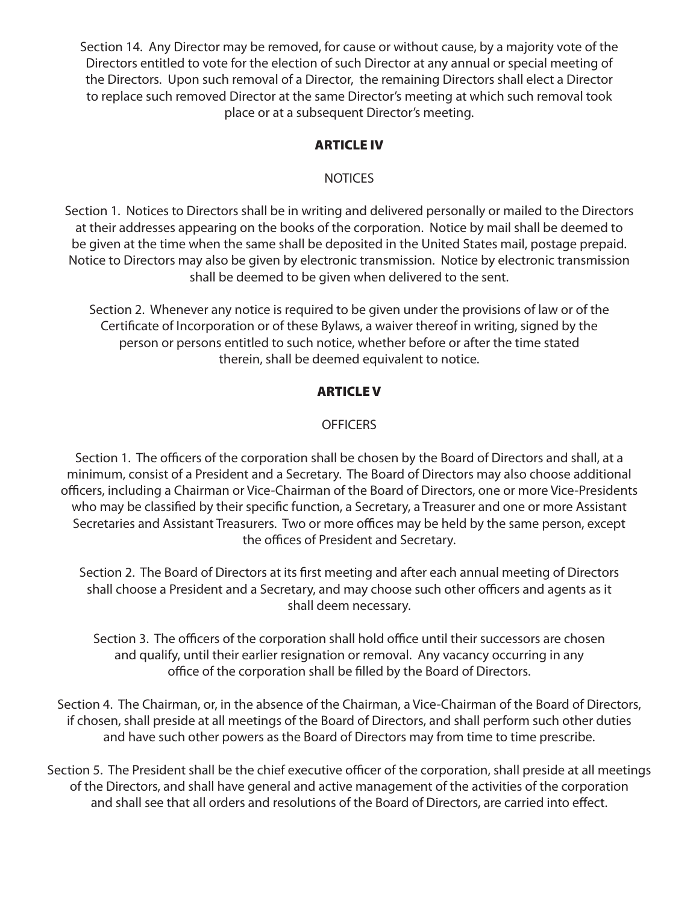Section 14. Any Director may be removed, for cause or without cause, by a majority vote of the Directors entitled to vote for the election of such Director at any annual or special meeting of the Directors. Upon such removal of a Director, the remaining Directors shall elect a Director to replace such removed Director at the same Director's meeting at which such removal took place or at a subsequent Director's meeting.

# ARTICLE IV

## NOTICES

Section 1. Notices to Directors shall be in writing and delivered personally or mailed to the Directors at their addresses appearing on the books of the corporation. Notice by mail shall be deemed to be given at the time when the same shall be deposited in the United States mail, postage prepaid. Notice to Directors may also be given by electronic transmission. Notice by electronic transmission shall be deemed to be given when delivered to the sent.

Section 2. Whenever any notice is required to be given under the provisions of law or of the Certificate of Incorporation or of these Bylaws, a waiver thereof in writing, signed by the person or persons entitled to such notice, whether before or after the time stated therein, shall be deemed equivalent to notice.

## ARTICLE V

## OFFICERS

Section 1. The officers of the corporation shall be chosen by the Board of Directors and shall, at a minimum, consist of a President and a Secretary. The Board of Directors may also choose additional officers, including a Chairman or Vice-Chairman of the Board of Directors, one or more Vice-Presidents who may be classified by their specific function, a Secretary, a Treasurer and one or more Assistant Secretaries and Assistant Treasurers. Two or more offices may be held by the same person, except the offices of President and Secretary.

Section 2. The Board of Directors at its first meeting and after each annual meeting of Directors shall choose a President and a Secretary, and may choose such other officers and agents as it shall deem necessary.

Section 3. The officers of the corporation shall hold office until their successors are chosen and qualify, until their earlier resignation or removal. Any vacancy occurring in any office of the corporation shall be filled by the Board of Directors.

Section 4. The Chairman, or, in the absence of the Chairman, a Vice-Chairman of the Board of Directors, if chosen, shall preside at all meetings of the Board of Directors, and shall perform such other duties and have such other powers as the Board of Directors may from time to time prescribe.

Section 5. The President shall be the chief executive officer of the corporation, shall preside at all meetings of the Directors, and shall have general and active management of the activities of the corporation and shall see that all orders and resolutions of the Board of Directors, are carried into effect.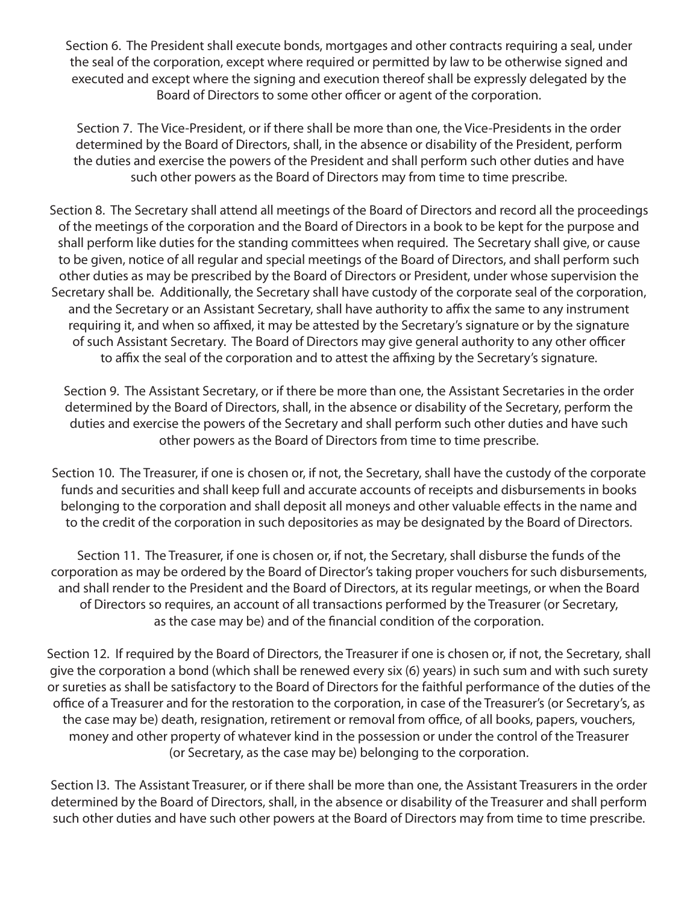Section 6. The President shall execute bonds, mortgages and other contracts requiring a seal, under the seal of the corporation, except where required or permitted by law to be otherwise signed and executed and except where the signing and execution thereof shall be expressly delegated by the Board of Directors to some other officer or agent of the corporation.

Section 7. The Vice-President, or if there shall be more than one, the Vice-Presidents in the order determined by the Board of Directors, shall, in the absence or disability of the President, perform the duties and exercise the powers of the President and shall perform such other duties and have such other powers as the Board of Directors may from time to time prescribe.

Section 8. The Secretary shall attend all meetings of the Board of Directors and record all the proceedings of the meetings of the corporation and the Board of Directors in a book to be kept for the purpose and shall perform like duties for the standing committees when required. The Secretary shall give, or cause to be given, notice of all regular and special meetings of the Board of Directors, and shall perform such other duties as may be prescribed by the Board of Directors or President, under whose supervision the Secretary shall be. Additionally, the Secretary shall have custody of the corporate seal of the corporation, and the Secretary or an Assistant Secretary, shall have authority to affix the same to any instrument requiring it, and when so affixed, it may be attested by the Secretary's signature or by the signature of such Assistant Secretary. The Board of Directors may give general authority to any other officer to affix the seal of the corporation and to attest the affixing by the Secretary's signature.

Section 9. The Assistant Secretary, or if there be more than one, the Assistant Secretaries in the order determined by the Board of Directors, shall, in the absence or disability of the Secretary, perform the duties and exercise the powers of the Secretary and shall perform such other duties and have such other powers as the Board of Directors from time to time prescribe.

Section 10. The Treasurer, if one is chosen or, if not, the Secretary, shall have the custody of the corporate funds and securities and shall keep full and accurate accounts of receipts and disbursements in books belonging to the corporation and shall deposit all moneys and other valuable effects in the name and to the credit of the corporation in such depositories as may be designated by the Board of Directors.

Section 11. The Treasurer, if one is chosen or, if not, the Secretary, shall disburse the funds of the corporation as may be ordered by the Board of Director's taking proper vouchers for such disbursements, and shall render to the President and the Board of Directors, at its regular meetings, or when the Board of Directors so requires, an account of all transactions performed by the Treasurer (or Secretary, as the case may be) and of the financial condition of the corporation.

Section 12. If required by the Board of Directors, the Treasurer if one is chosen or, if not, the Secretary, shall give the corporation a bond (which shall be renewed every six (6) years) in such sum and with such surety or sureties as shall be satisfactory to the Board of Directors for the faithful performance of the duties of the office of a Treasurer and for the restoration to the corporation, in case of the Treasurer's (or Secretary's, as the case may be) death, resignation, retirement or removal from office, of all books, papers, vouchers, money and other property of whatever kind in the possession or under the control of the Treasurer (or Secretary, as the case may be) belonging to the corporation.

Section l3. The Assistant Treasurer, or if there shall be more than one, the Assistant Treasurers in the order determined by the Board of Directors, shall, in the absence or disability of the Treasurer and shall perform such other duties and have such other powers at the Board of Directors may from time to time prescribe.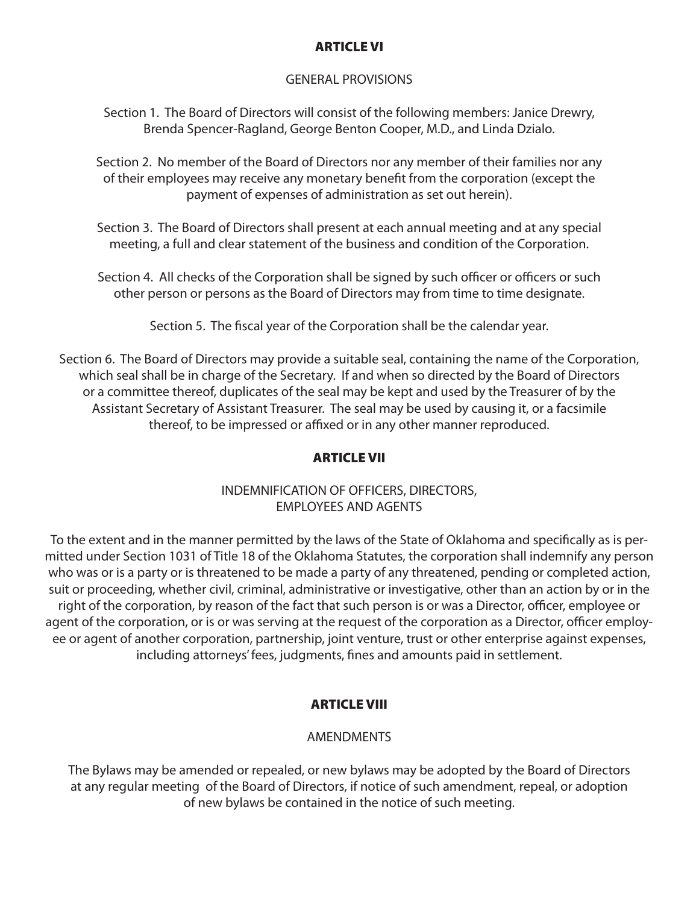#### ARTICLE VI

#### GENERAL PROVISIONS

Section 1. The Board of Directors will consist of the following members: Janice Drewry, Brenda Spencer-Ragland, George Benton Cooper, M.D., and Linda Dzialo.

Section 2. No member of the Board of Directors nor any member of their families nor any of their employees may receive any monetary benefit from the corporation (except the payment of expenses of administration as set out herein).

Section 3. The Board of Directors shall present at each annual meeting and at any special meeting, a full and clear statement of the business and condition of the Corporation.

Section 4. All checks of the Corporation shall be signed by such officer or officers or such other person or persons as the Board of Directors may from time to time designate.

Section 5. The fiscal year of the Corporation shall be the calendar year.

Section 6. The Board of Directors may provide a suitable seal, containing the name of the Corporation, which seal shall be in charge of the Secretary. If and when so directed by the Board of Directors or a committee thereof, duplicates of the seal may be kept and used by the Treasurer of by the Assistant Secretary of Assistant Treasurer. The seal may be used by causing it, or a facsimile thereof, to be impressed or affixed or in any other manner reproduced.

## ARTICLE VII

## INDEMNIFICATION OF OFFICERS, DIRECTORS, EMPLOYEES AND AGENTS

To the extent and in the manner permitted by the laws of the State of Oklahoma and specifically as is permitted under Section 1031 of Title 18 of the Oklahoma Statutes, the corporation shall indemnify any person who was or is a party or is threatened to be made a party of any threatened, pending or completed action, suit or proceeding, whether civil, criminal, administrative or investigative, other than an action by or in the right of the corporation, by reason of the fact that such person is or was a Director, officer, employee or agent of the corporation, or is or was serving at the request of the corporation as a Director, officer employee or agent of another corporation, partnership, joint venture, trust or other enterprise against expenses, including attorneys' fees, judgments, fines and amounts paid in settlement.

## ARTICLE VIII

## **AMENDMENTS**

The Bylaws may be amended or repealed, or new bylaws may be adopted by the Board of Directors at any regular meeting of the Board of Directors, if notice of such amendment, repeal, or adoption of new bylaws be contained in the notice of such meeting.